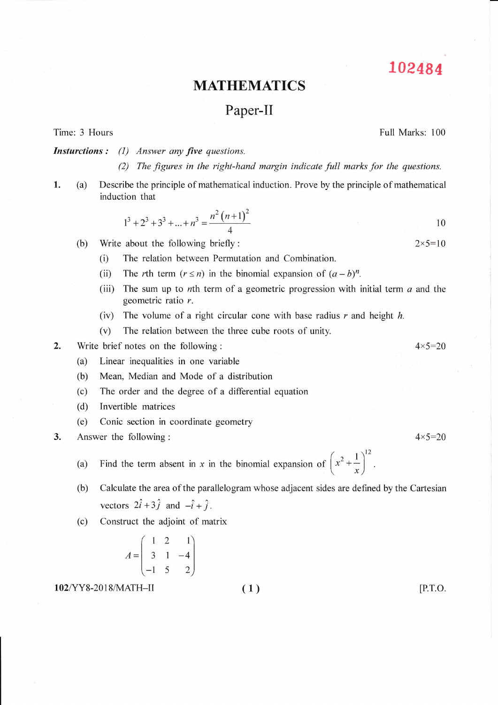102484

## MATHEMATICS

## Paper-II

Time: 3 Hours

Full Marks: 100

**Insturctions:** (1) Answer any five questions

(2) The figures in the right-hand margin indicate full marks for the questions.

1. (a) Describe the principle of mathematical induction. Prove by the principle of mathematical induction that

$$
1^3 + 2^3 + 3^3 + \dots + n^3 = \frac{n^2 (n+1)^2}{4}
$$

- (b) Write about the following briefly :  $2 \times 5 = 10$ 
	- (i) The relation between Permutation and Combination.
	- (ii) The rth term  $(r \le n)$  in the binomial expansion of  $(a b)^n$ .
	- (iii) The sum up to nth term of a geometric progression with initial term  $a$  and the geometric ratio r.
	- (iv) The volume of a right circular cone with base radius  $r$  and height  $h$ .
	- (v) The relation between the three cube roots of unity.
- ., Write brief notes on the following :  $4 \times 5 = 20$ 
	- (a) Linear inequalities in one variable
	- (b) Mean. Median and Mode of a distribution
	- (c) The order and the degree of a differential equation
	- (d) Invertible matrices
	- (e) Conic section in coordinate geometry
- 3. Answer the following:  $4 \times 5 = 20$ 
	- (a) Find the term absent in x in the binomial expansion of  $\left(x^2 + \frac{1}{x}\right)^{12}$
	- (b) Calculate the area of the parallelogram whose adjacent sides are defined by the Cartesian vectors  $2\hat{i} + 3\hat{j}$  and  $-\hat{i} + \hat{j}$ .
	- (c) Construct the adjoint of matrix

$$
A = \begin{pmatrix} 1 & 2 & 1 \\ 3 & 1 & -4 \\ -1 & 5 & 2 \end{pmatrix}
$$

102/YY8-2018/MATH-II (1) (1) [P.T.O.